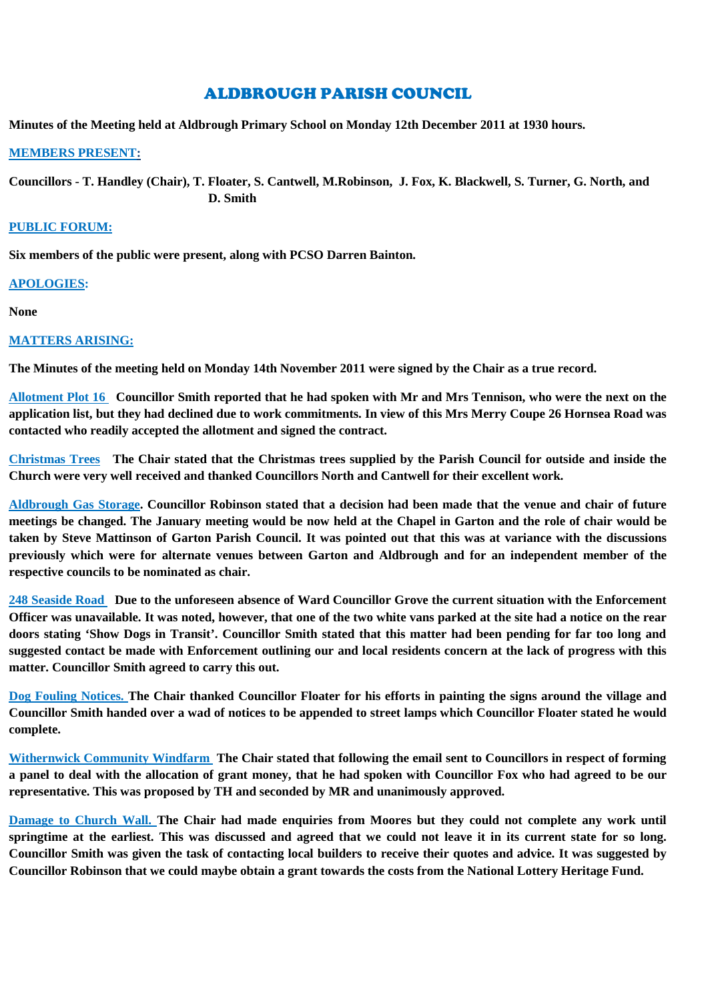# ALDBROUGH PARISH COUNCIL

**Minutes of the Meeting held at Aldbrough Primary School on Monday 12th December 2011 at 1930 hours.**

#### **MEMBERS PRESENT:**

**Councillors - T. Handley (Chair), T. Floater, S. Cantwell, M.Robinson, J. Fox, K. Blackwell, S. Turner, G. North, and D. Smith**

### **PUBLIC FORUM:**

**Six members of the public were present, along with PCSO Darren Bainton.**

# **APOLOGIES:**

**None**

# **MATTERS ARISING:**

**The Minutes of the meeting held on Monday 14th November 2011 were signed by the Chair as a true record.**

**Allotment Plot 16 Councillor Smith reported that he had spoken with Mr and Mrs Tennison, who were the next on the application list, but they had declined due to work commitments. In view of this Mrs Merry Coupe 26 Hornsea Road was contacted who readily accepted the allotment and signed the contract.**

**Christmas Trees The Chair stated that the Christmas trees supplied by the Parish Council for outside and inside the Church were very well received and thanked Councillors North and Cantwell for their excellent work.**

**Aldbrough Gas Storage. Councillor Robinson stated that a decision had been made that the venue and chair of future meetings be changed. The January meeting would be now held at the Chapel in Garton and the role of chair would be taken by Steve Mattinson of Garton Parish Council. It was pointed out that this was at variance with the discussions previously which were for alternate venues between Garton and Aldbrough and for an independent member of the respective councils to be nominated as chair.**

**248 Seaside Road Due to the unforeseen absence of Ward Councillor Grove the current situation with the Enforcement Officer was unavailable. It was noted, however, that one of the two white vans parked at the site had a notice on the rear doors stating 'Show Dogs in Transit'. Councillor Smith stated that this matter had been pending for far too long and suggested contact be made with Enforcement outlining our and local residents concern at the lack of progress with this matter. Councillor Smith agreed to carry this out.**

**Dog Fouling Notices. The Chair thanked Councillor Floater for his efforts in painting the signs around the village and Councillor Smith handed over a wad of notices to be appended to street lamps which Councillor Floater stated he would complete.**

**Withernwick Community Windfarm The Chair stated that following the email sent to Councillors in respect of forming a panel to deal with the allocation of grant money, that he had spoken with Councillor Fox who had agreed to be our representative. This was proposed by TH and seconded by MR and unanimously approved.**

**Damage to Church Wall. The Chair had made enquiries from Moores but they could not complete any work until springtime at the earliest. This was discussed and agreed that we could not leave it in its current state for so long. Councillor Smith was given the task of contacting local builders to receive their quotes and advice. It was suggested by Councillor Robinson that we could maybe obtain a grant towards the costs from the National Lottery Heritage Fund.**